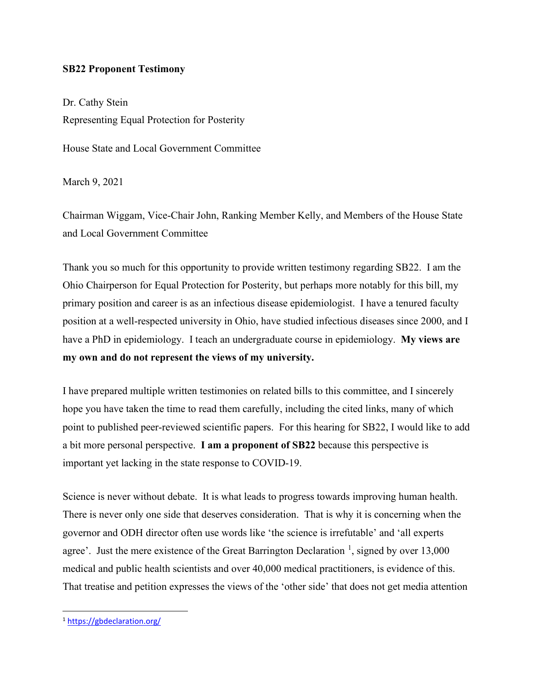## **SB22 Proponent Testimony**

Dr. Cathy Stein Representing Equal Protection for Posterity

House State and Local Government Committee

March 9, 2021

Chairman Wiggam, Vice-Chair John, Ranking Member Kelly, and Members of the House State and Local Government Committee

Thank you so much for this opportunity to provide written testimony regarding SB22. I am the Ohio Chairperson for Equal Protection for Posterity, but perhaps more notably for this bill, my primary position and career is as an infectious disease epidemiologist. I have a tenured faculty position at a well-respected university in Ohio, have studied infectious diseases since 2000, and I have a PhD in epidemiology. I teach an undergraduate course in epidemiology. **My views are my own and do not represent the views of my university.**

I have prepared multiple written testimonies on related bills to this committee, and I sincerely hope you have taken the time to read them carefully, including the cited links, many of which point to published peer-reviewed scientific papers. For this hearing for SB22, I would like to add a bit more personal perspective. **I am a proponent of SB22** because this perspective is important yet lacking in the state response to COVID-19.

Science is never without debate. It is what leads to progress towards improving human health. There is never only one side that deserves consideration. That is why it is concerning when the governor and ODH director often use words like 'the science is irrefutable' and 'all experts agree'. Just the mere existence of the Great Barrington Declaration<sup>[1](#page-0-0)</sup>, signed by over 13,000 medical and public health scientists and over 40,000 medical practitioners, is evidence of this. That treatise and petition expresses the views of the 'other side' that does not get media attention

<span id="page-0-0"></span><sup>1</sup> <https://gbdeclaration.org/>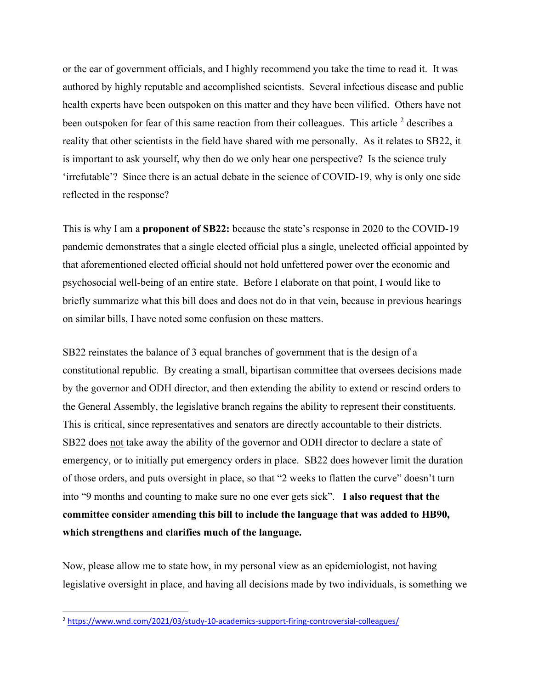or the ear of government officials, and I highly recommend you take the time to read it. It was authored by highly reputable and accomplished scientists. Several infectious disease and public health experts have been outspoken on this matter and they have been vilified. Others have not been outspoken for fear of this same reaction from their colleagues. This article  $2$  describes a reality that other scientists in the field have shared with me personally. As it relates to SB22, it is important to ask yourself, why then do we only hear one perspective? Is the science truly 'irrefutable'? Since there is an actual debate in the science of COVID-19, why is only one side reflected in the response?

This is why I am a **proponent of SB22:** because the state's response in 2020 to the COVID-19 pandemic demonstrates that a single elected official plus a single, unelected official appointed by that aforementioned elected official should not hold unfettered power over the economic and psychosocial well-being of an entire state. Before I elaborate on that point, I would like to briefly summarize what this bill does and does not do in that vein, because in previous hearings on similar bills, I have noted some confusion on these matters.

SB22 reinstates the balance of 3 equal branches of government that is the design of a constitutional republic. By creating a small, bipartisan committee that oversees decisions made by the governor and ODH director, and then extending the ability to extend or rescind orders to the General Assembly, the legislative branch regains the ability to represent their constituents. This is critical, since representatives and senators are directly accountable to their districts. SB22 does not take away the ability of the governor and ODH director to declare a state of emergency, or to initially put emergency orders in place. SB22 does however limit the duration of those orders, and puts oversight in place, so that "2 weeks to flatten the curve" doesn't turn into "9 months and counting to make sure no one ever gets sick". **I also request that the committee consider amending this bill to include the language that was added to HB90, which strengthens and clarifies much of the language.** 

Now, please allow me to state how, in my personal view as an epidemiologist, not having legislative oversight in place, and having all decisions made by two individuals, is something we

<span id="page-1-0"></span><sup>2</sup> <https://www.wnd.com/2021/03/study-10-academics-support-firing-controversial-colleagues/>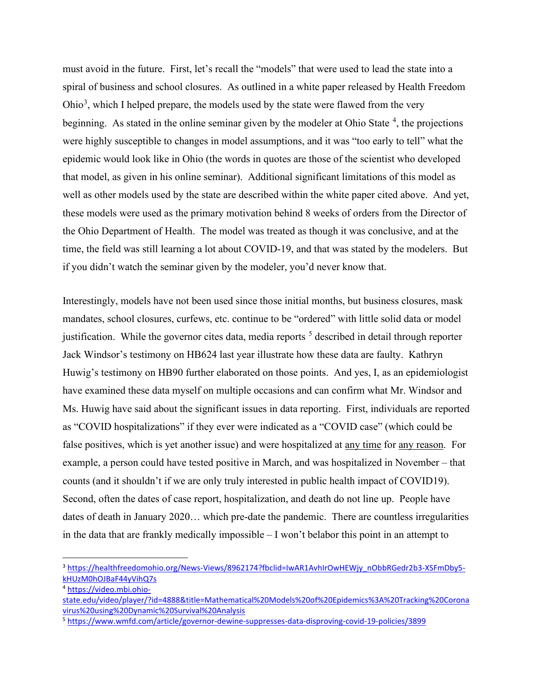must avoid in the future. First, let's recall the "models" that were used to lead the state into a spiral of business and school closures. As outlined in a white paper released by Health Freedom Ohio<sup>[3](#page-2-0)</sup>, which I helped prepare, the models used by the state were flawed from the very beginning. As stated in the online seminar given by the modeler at Ohio State<sup>[4](#page-2-1)</sup>, the projections were highly susceptible to changes in model assumptions, and it was "too early to tell" what the epidemic would look like in Ohio (the words in quotes are those of the scientist who developed that model, as given in his online seminar). Additional significant limitations of this model as well as other models used by the state are described within the white paper cited above. And yet, these models were used as the primary motivation behind 8 weeks of orders from the Director of the Ohio Department of Health. The model was treated as though it was conclusive, and at the time, the field was still learning a lot about COVID-19, and that was stated by the modelers. But if you didn't watch the seminar given by the modeler, you'd never know that.

Interestingly, models have not been used since those initial months, but business closures, mask mandates, school closures, curfews, etc. continue to be "ordered" with little solid data or model justification. While the governor cites data, media reports  $<sup>5</sup>$  $<sup>5</sup>$  $<sup>5</sup>$  described in detail through reporter</sup> Jack Windsor's testimony on HB624 last year illustrate how these data are faulty. Kathryn Huwig's testimony on HB90 further elaborated on those points. And yes, I, as an epidemiologist have examined these data myself on multiple occasions and can confirm what Mr. Windsor and Ms. Huwig have said about the significant issues in data reporting. First, individuals are reported as "COVID hospitalizations" if they ever were indicated as a "COVID case" (which could be false positives, which is yet another issue) and were hospitalized at any time for any reason. For example, a person could have tested positive in March, and was hospitalized in November – that counts (and it shouldn't if we are only truly interested in public health impact of COVID19). Second, often the dates of case report, hospitalization, and death do not line up. People have dates of death in January 2020… which pre-date the pandemic. There are countless irregularities in the data that are frankly medically impossible – I won't belabor this point in an attempt to

<span id="page-2-0"></span><sup>&</sup>lt;sup>3</sup> [https://healthfreedomohio.org/News-Views/8962174?fbclid=IwAR1AvhIrOwHEWjy\\_nObbRGedr2b3-XSFmDby5](https://healthfreedomohio.org/News-Views/8962174?fbclid=IwAR1AvhIrOwHEWjy_nObbRGedr2b3-XSFmDby5-kHUzM0hOJBaF44yVihQ7s) [kHUzM0hOJBaF44yVihQ7s](https://healthfreedomohio.org/News-Views/8962174?fbclid=IwAR1AvhIrOwHEWjy_nObbRGedr2b3-XSFmDby5-kHUzM0hOJBaF44yVihQ7s)

<span id="page-2-1"></span><sup>4</sup> [https://video.mbi.ohio](https://video.mbi.ohio-state.edu/video/player/?id=4888&title=Mathematical%20Models%20of%20Epidemics%3A%20Tracking%20Coronavirus%20using%20Dynamic%20Survival%20Analysis)[state.edu/video/player/?id=4888&title=Mathematical%20Models%20of%20Epidemics%3A%20Tracking%20Corona](https://video.mbi.ohio-state.edu/video/player/?id=4888&title=Mathematical%20Models%20of%20Epidemics%3A%20Tracking%20Coronavirus%20using%20Dynamic%20Survival%20Analysis) [virus%20using%20Dynamic%20Survival%20Analysis](https://video.mbi.ohio-state.edu/video/player/?id=4888&title=Mathematical%20Models%20of%20Epidemics%3A%20Tracking%20Coronavirus%20using%20Dynamic%20Survival%20Analysis)

<span id="page-2-2"></span><sup>5</sup> <https://www.wmfd.com/article/governor-dewine-suppresses-data-disproving-covid-19-policies/3899>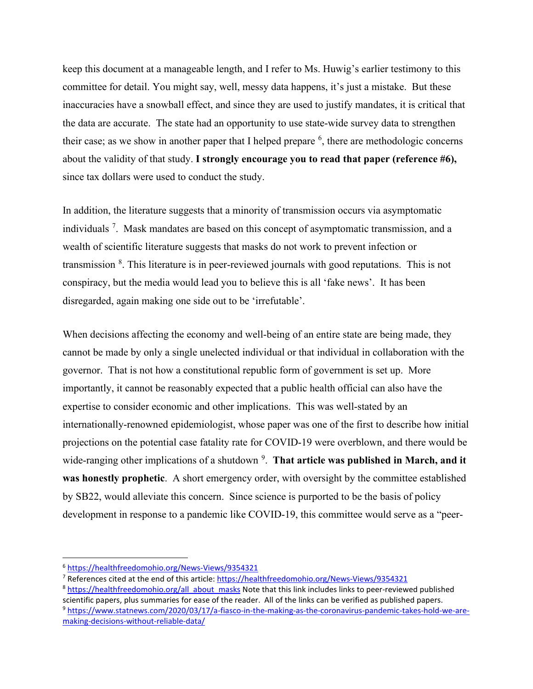keep this document at a manageable length, and I refer to Ms. Huwig's earlier testimony to this committee for detail. You might say, well, messy data happens, it's just a mistake. But these inaccuracies have a snowball effect, and since they are used to justify mandates, it is critical that the data are accurate. The state had an opportunity to use state-wide survey data to strengthen their case; as we show in another paper that I helped prepare  $<sup>6</sup>$  $<sup>6</sup>$  $<sup>6</sup>$ , there are methodologic concerns</sup> about the validity of that study. **I strongly encourage you to read that paper (reference #6),** since tax dollars were used to conduct the study.

In addition, the literature suggests that a minority of transmission occurs via asymptomatic individuals<sup>[7](#page-3-1)</sup>. Mask mandates are based on this concept of asymptomatic transmission, and a wealth of scientific literature suggests that masks do not work to prevent infection or transmission <sup>[8](#page-3-2)</sup>. This literature is in peer-reviewed journals with good reputations. This is not conspiracy, but the media would lead you to believe this is all 'fake news'. It has been disregarded, again making one side out to be 'irrefutable'.

When decisions affecting the economy and well-being of an entire state are being made, they cannot be made by only a single unelected individual or that individual in collaboration with the governor. That is not how a constitutional republic form of government is set up. More importantly, it cannot be reasonably expected that a public health official can also have the expertise to consider economic and other implications. This was well-stated by an internationally-renowned epidemiologist, whose paper was one of the first to describe how initial projections on the potential case fatality rate for COVID-19 were overblown, and there would be wide-ranging other implications of a shutdown<sup>[9](#page-3-3)</sup>. That article was published in March, and it **was honestly prophetic**. A short emergency order, with oversight by the committee established by SB22, would alleviate this concern. Since science is purported to be the basis of policy development in response to a pandemic like COVID-19, this committee would serve as a "peer-

<span id="page-3-0"></span><sup>6</sup> <https://healthfreedomohio.org/News-Views/9354321>

<span id="page-3-1"></span><sup>&</sup>lt;sup>7</sup> References cited at the end of this article: <https://healthfreedomohio.org/News-Views/9354321>

<span id="page-3-2"></span><sup>&</sup>lt;sup>8</sup> [https://healthfreedomohio.org/all\\_about\\_masks](https://healthfreedomohio.org/all_about_masks) Note that this link includes links to peer-reviewed published scientific papers, plus summaries for ease of the reader. All of the links can be verified as published papers.<br><sup>9</sup> [https://www.statnews.com/2020/03/17/a-fiasco-in-the-making-as-the-coronavirus-pandemic-takes-hold-we-are-](https://www.statnews.com/2020/03/17/a-fiasco-in-the-making-as-the-coronavirus-pandemic-takes-hold-we-are-making-decisions-without-reliable-data/)

<span id="page-3-3"></span>[making-decisions-without-reliable-data/](https://www.statnews.com/2020/03/17/a-fiasco-in-the-making-as-the-coronavirus-pandemic-takes-hold-we-are-making-decisions-without-reliable-data/)